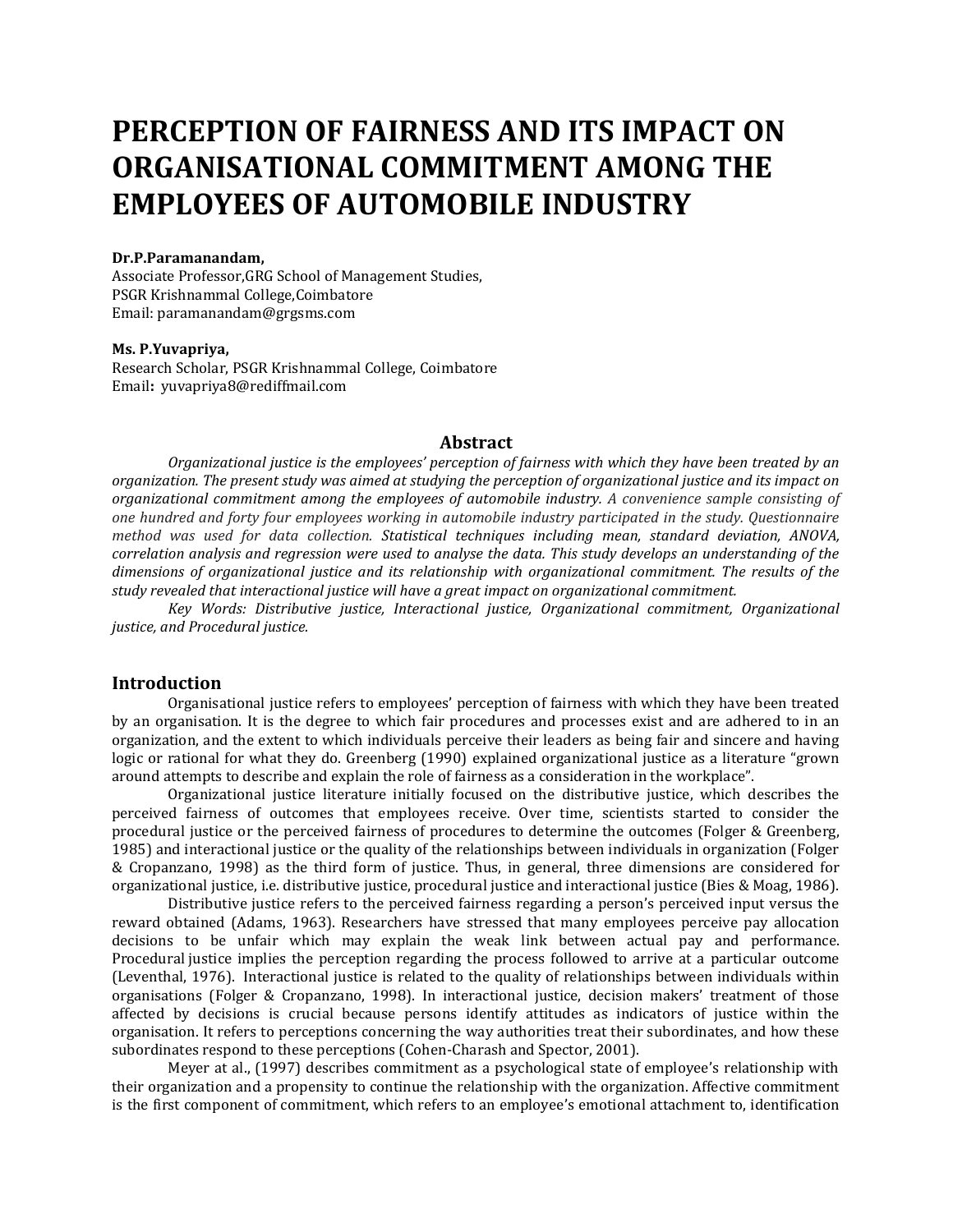# **PERCEPTION OF FAIRNESS AND ITS IMPACT ON ORGANISATIONAL COMMITMENT AMONG THE EMPLOYEES OF AUTOMOBILE INDUSTRY**

#### **Dr.P.Paramanandam,**

Associate Professor,GRG School of Management Studies, PSGR Krishnammal College,Coimbatore Email[: paramanandam@grgsms.com](mailto:paramanandam@grgsms.com)

#### **Ms. P.Yuvapriya,**

Research Scholar, PSGR Krishnammal College, Coimbatore Email**:** [yuvapriya8@rediffmail.com](mailto:yuvapriya8@rediffmail.com)

#### **Abstract**

*Organizational justice is the employees' perception of fairness with which they have been treated by an organization. The present study was aimed at studying the perception of organizational justice and its impact on organizational commitment among the employees of automobile industry. A convenience sample consisting of one hundred and forty four employees working in automobile industry participated in the study. Questionnaire method was used for data collection. Statistical techniques including mean, standard deviation, ANOVA, correlation analysis and regression were used to analyse the data. This study develops an understanding of the dimensions of organizational justice and its relationship with organizational commitment. The results of the study revealed that interactional justice will have a great impact on organizational commitment.*

*Key Words: Distributive justice, Interactional justice, Organizational commitment, Organizational justice, and Procedural justice.*

#### **Introduction**

Organisational justice refers to employees' perception of fairness with which they have been treated by an organisation. It is the degree to which fair procedures and processes exist and are adhered to in an organization, and the extent to which individuals perceive their leaders as being fair and sincere and having logic or rational for what they do. Greenberg (1990) explained organizational justice as a literature "grown around attempts to describe and explain the role of fairness as a consideration in the workplace".

Organizational justice literature initially focused on the distributive justice, which describes the perceived fairness of outcomes that employees receive. Over time, scientists started to consider the procedural justice or the perceived fairness of procedures to determine the outcomes (Folger & Greenberg, 1985) and interactional justice or the quality of the relationships between individuals in organization (Folger & Cropanzano, 1998) as the third form of justice. Thus, in general, three dimensions are considered for organizational justice, i.e. distributive justice, procedural justice and interactional justice (Bies & Moag, 1986).

Distributive justice refers to the perceived fairness regarding a person's perceived input versus the reward obtained (Adams, 1963). Researchers have stressed that many employees perceive pay allocation decisions to be unfair which may explain the weak link between actual pay and performance. Procedural justice implies the perception regarding the process followed to arrive at a particular outcome (Leventhal, 1976). Interactional justice is related to the quality of relationships between individuals within organisations (Folger & Cropanzano, 1998). In interactional justice, decision makers' treatment of those affected by decisions is crucial because persons identify attitudes as indicators of justice within the organisation. It refers to perceptions concerning the way authorities treat their subordinates, and how these subordinates respond to these perceptions (Cohen-Charash and Spector, 2001).

Meyer at al., (1997) describes commitment as a psychological state of employee's relationship with their organization and a propensity to continue the relationship with the organization. Affective commitment is the first component of commitment, which refers to an employee's emotional attachment to, identification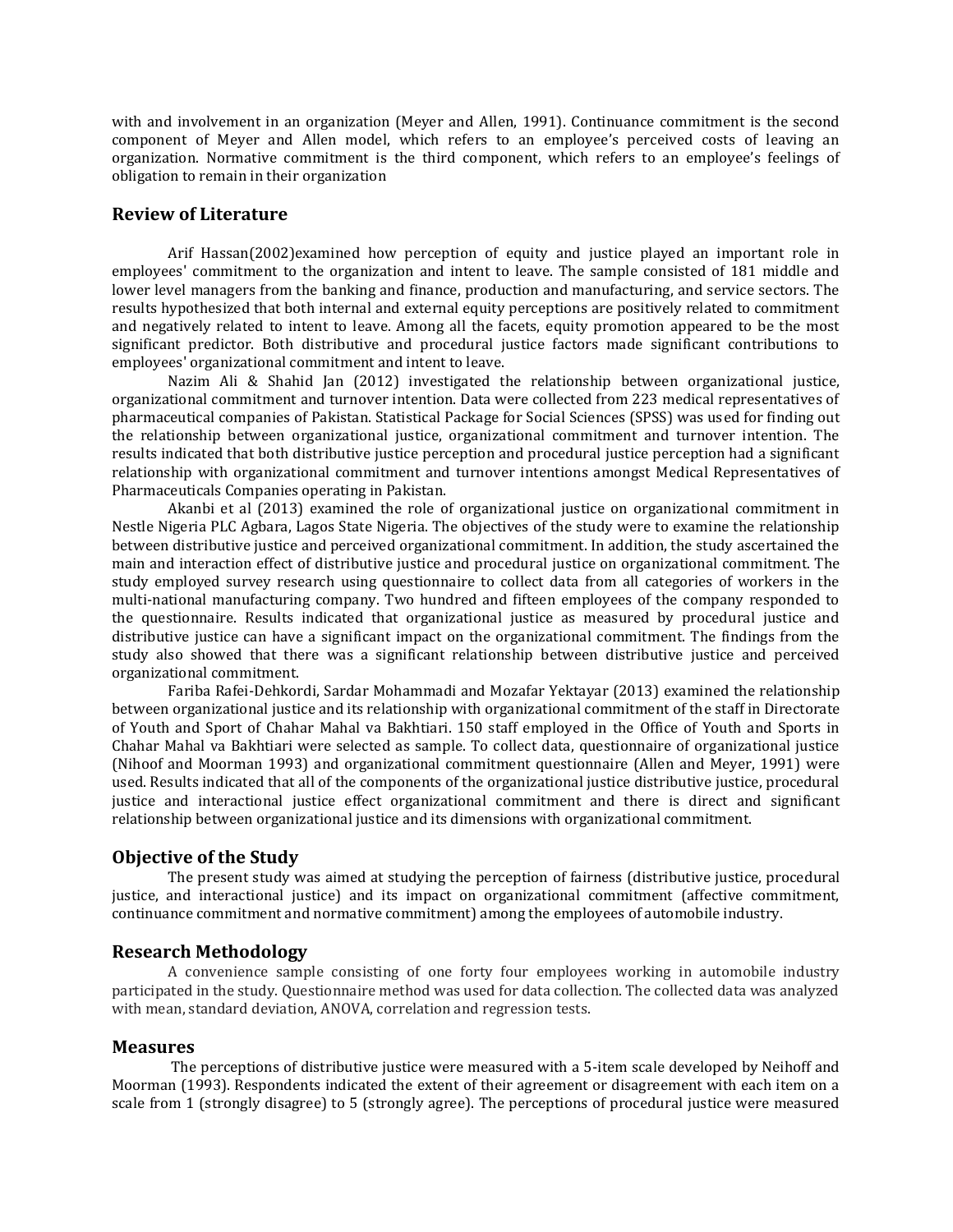with and involvement in an organization (Meyer and Allen, 1991). Continuance commitment is the second component of Meyer and Allen model, which refers to an employee's perceived costs of leaving an organization. Normative commitment is the third component, which refers to an employee's feelings of obligation to remain in their organization

## **Review of Literature**

Arif Hassan(2002)examined how perception of equity and justice played an important role in employees' commitment to the organization and intent to leave. The sample consisted of 181 middle and lower level managers from the banking and finance, production and manufacturing, and service sectors. The results hypothesized that both internal and external equity perceptions are positively related to commitment and negatively related to intent to leave. Among all the facets, equity promotion appeared to be the most significant predictor. Both distributive and procedural justice factors made significant contributions to employees' organizational commitment and intent to leave.

Nazim Ali & Shahid Jan (2012) investigated the relationship between organizational justice, organizational commitment and turnover intention. Data were collected from 223 medical representatives of pharmaceutical companies of Pakistan. Statistical Package for Social Sciences (SPSS) was used for finding out the relationship between organizational justice, organizational commitment and turnover intention. The results indicated that both distributive justice perception and procedural justice perception had a significant relationship with organizational commitment and turnover intentions amongst Medical Representatives of Pharmaceuticals Companies operating in Pakistan.

Akanbi et al (2013) examined the role of organizational justice on organizational commitment in Nestle Nigeria PLC Agbara, Lagos State Nigeria. The objectives of the study were to examine the relationship between distributive justice and perceived organizational commitment. In addition, the study ascertained the main and interaction effect of distributive justice and procedural justice on organizational commitment. The study employed survey research using questionnaire to collect data from all categories of workers in the multi-national manufacturing company. Two hundred and fifteen employees of the company responded to the questionnaire. Results indicated that organizational justice as measured by procedural justice and distributive justice can have a significant impact on the organizational commitment. The findings from the study also showed that there was a significant relationship between distributive justice and perceived organizational commitment.

Fariba Rafei-Dehkordi, Sardar Mohammadi and Mozafar Yektayar (2013) examined the relationship between organizational justice and its relationship with organizational commitment of the staff in Directorate of Youth and Sport of Chahar Mahal va Bakhtiari. 150 staff employed in the Office of Youth and Sports in Chahar Mahal va Bakhtiari were selected as sample. To collect data, questionnaire of organizational justice (Nihoof and Moorman 1993) and organizational commitment questionnaire (Allen and Meyer, 1991) were used. Results indicated that all of the components of the organizational justice distributive justice, procedural justice and interactional justice effect organizational commitment and there is direct and significant relationship between organizational justice and its dimensions with organizational commitment.

## **Objective of the Study**

The present study was aimed at studying the perception of fairness (distributive justice, procedural justice, and interactional justice) and its impact on organizational commitment (affective commitment, continuance commitment and normative commitment) among the employees of automobile industry.

#### **Research Methodology**

A convenience sample consisting of one forty four employees working in automobile industry participated in the study. Questionnaire method was used for data collection. The collected data was analyzed with mean, standard deviation, ANOVA, correlation and regression tests.

#### **Measures**

The perceptions of distributive justice were measured with a 5-item scale developed by Neihoff and Moorman (1993). Respondents indicated the extent of their agreement or disagreement with each item on a scale from 1 (strongly disagree) to 5 (strongly agree). The perceptions of procedural justice were measured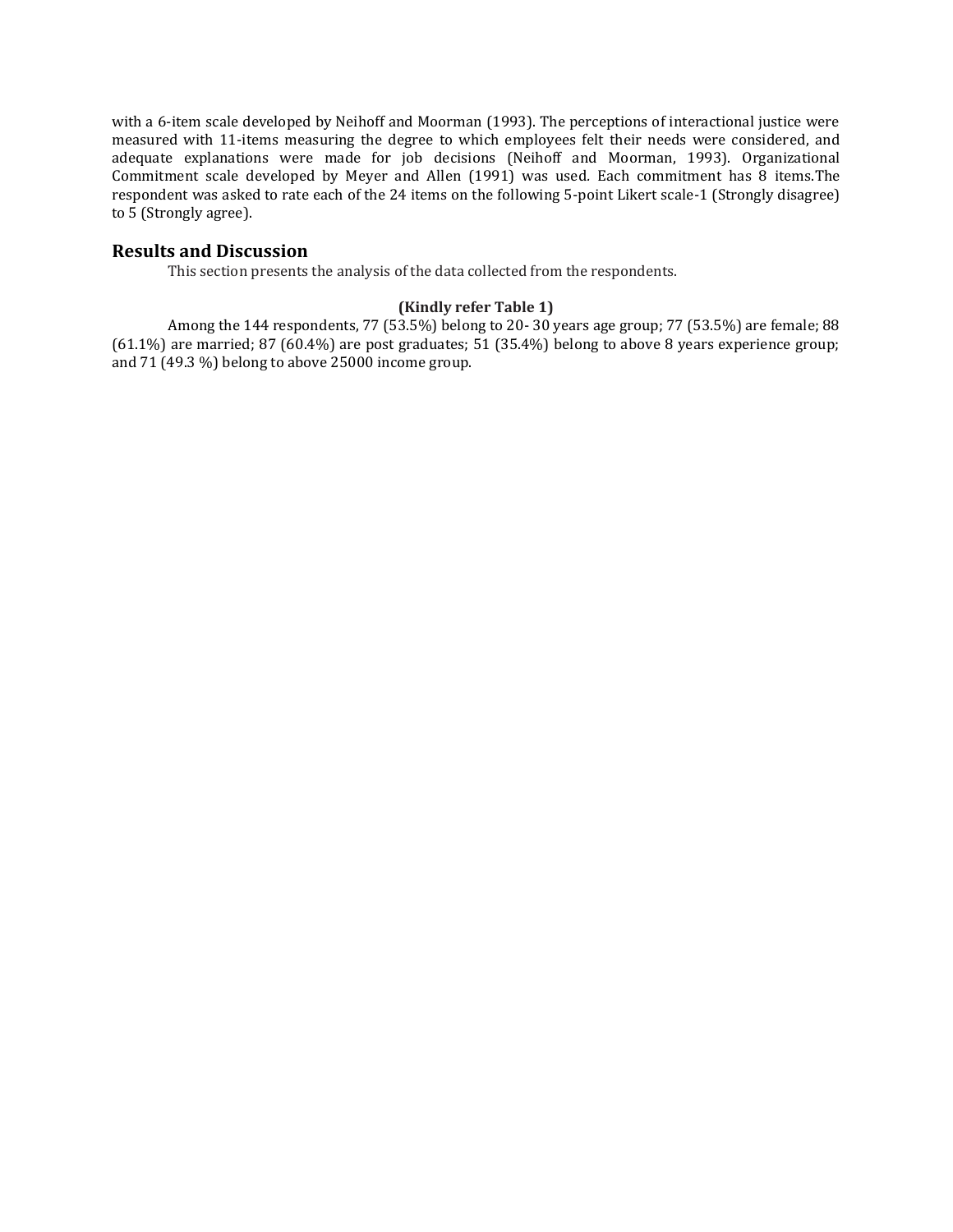with a 6-item scale developed by Neihoff and Moorman (1993). The perceptions of interactional justice were measured with 11-items measuring the degree to which employees felt their needs were considered, and adequate explanations were made for job decisions (Neihoff and Moorman, 1993). Organizational Commitment scale developed by Meyer and Allen (1991) was used*.* Each commitment has 8 items.The respondent was asked to rate each of the 24 items on the following 5-point Likert scale-1 (Strongly disagree) to 5 (Strongly agree).

## **Results and Discussion**

This section presents the analysis of the data collected from the respondents.

#### **(Kindly refer Table 1)**

Among the 144 respondents, 77 (53.5%) belong to 20- 30 years age group; 77 (53.5%) are female; 88 (61.1%) are married; 87 (60.4%) are post graduates; 51 (35.4%) belong to above 8 years experience group; and 71 (49.3 %) belong to above 25000 income group.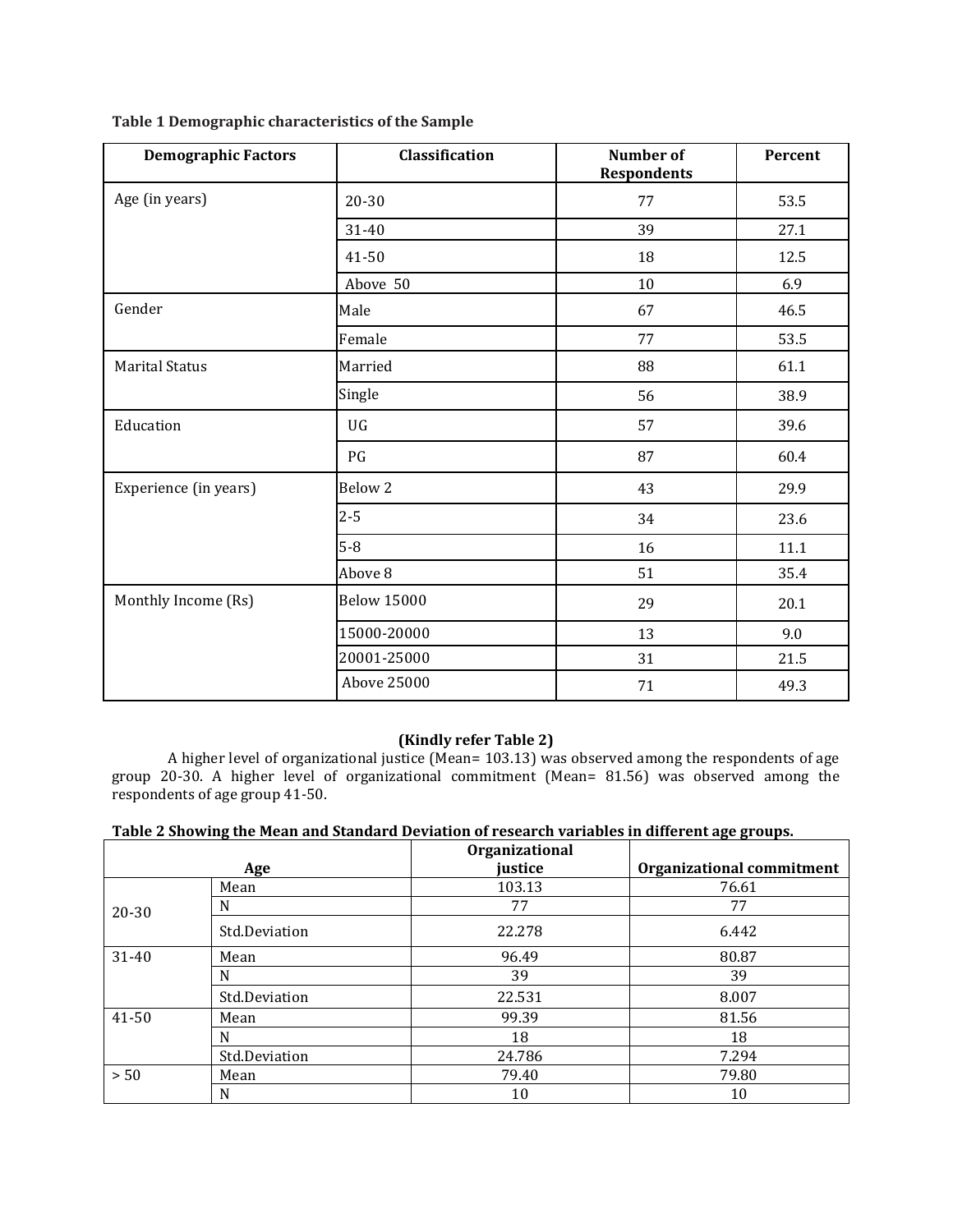| <b>Demographic Factors</b> | Classification     | <b>Number</b> of<br><b>Respondents</b> | Percent |
|----------------------------|--------------------|----------------------------------------|---------|
| Age (in years)             | 20-30              | 77                                     | 53.5    |
|                            | 31-40              | 39                                     | 27.1    |
|                            | 41-50              | 18                                     | 12.5    |
|                            | Above 50           | 10                                     | 6.9     |
| Gender                     | Male               | 67                                     | 46.5    |
|                            | Female             | 77                                     | 53.5    |
| <b>Marital Status</b>      | Married            | 88                                     | 61.1    |
|                            | Single             | 56                                     | 38.9    |
| Education                  | UG                 | 57                                     | 39.6    |
|                            | PG                 | 87                                     | 60.4    |
| Experience (in years)      | Below 2            | 43                                     | 29.9    |
|                            | $2 - 5$            | 34                                     | 23.6    |
|                            | $5 - 8$            | 16                                     | 11.1    |
|                            | Above 8            | 51                                     | 35.4    |
| Monthly Income (Rs)        | <b>Below 15000</b> | 29                                     | 20.1    |
|                            | 15000-20000        | 13                                     | 9.0     |
|                            | 20001-25000        | 31                                     | 21.5    |
|                            | Above 25000        | 71                                     | 49.3    |

## **Table 1 Demographic characteristics of the Sample**

#### **(Kindly refer Table 2)**

A higher level of organizational justice (Mean= 103.13) was observed among the respondents of age group 20-30. A higher level of organizational commitment (Mean= 81.56) was observed among the respondents of age group 41-50.

| rable 2 Showing the Mean and Standard Deviation of research variables in different age groups. |               |                |                                  |  |
|------------------------------------------------------------------------------------------------|---------------|----------------|----------------------------------|--|
|                                                                                                |               | Organizational |                                  |  |
|                                                                                                | Age           | justice        | <b>Organizational commitment</b> |  |
|                                                                                                | Mean          | 103.13         | 76.61                            |  |
| 20-30                                                                                          | N             | 77             | 77                               |  |
|                                                                                                | Std.Deviation | 22.278         | 6.442                            |  |
| 31-40                                                                                          | Mean          | 96.49          | 80.87                            |  |
|                                                                                                | N             | 39             | 39                               |  |
|                                                                                                | Std.Deviation | 22.531         | 8.007                            |  |
| 41-50                                                                                          | Mean          | 99.39          | 81.56                            |  |
|                                                                                                | N             | 18             | 18                               |  |
|                                                                                                | Std.Deviation | 24.786         | 7.294                            |  |
| > 50                                                                                           | Mean          | 79.40          | 79.80                            |  |

N 10 10 10

> 50 Mean 79.40 79.80

## **Table 2 Showing the Mean and Standard Deviation of research variables in different age groups.**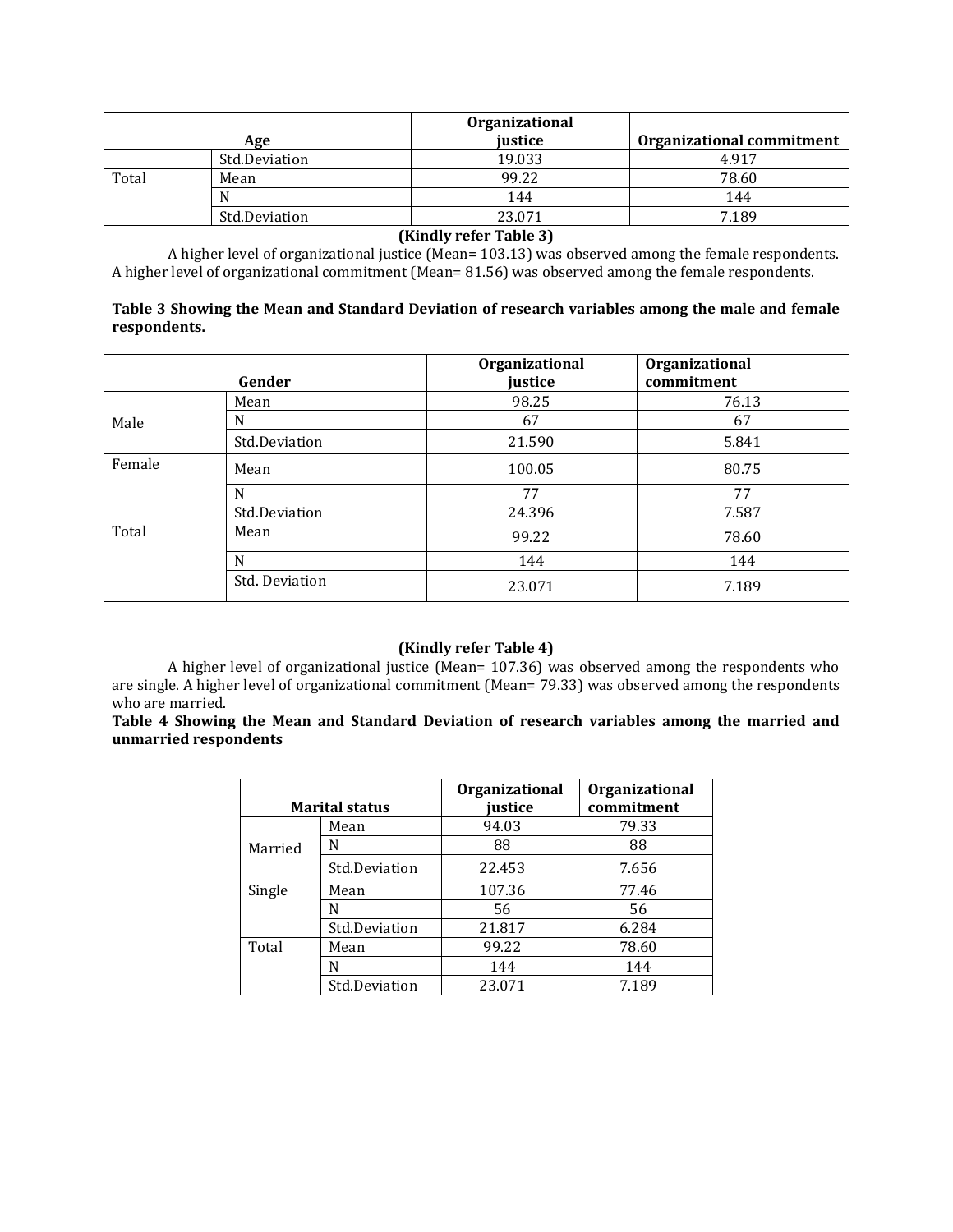|       | Age           | Organizational<br>justice | <b>Organizational commitment</b> |
|-------|---------------|---------------------------|----------------------------------|
|       | Std.Deviation | 19.033                    | 4.917                            |
| Total | Mean          | 99.22                     | 78.60                            |
|       |               | 144                       | 144                              |
|       | Std.Deviation | 23.071                    | 7.189                            |

#### **(Kindly refer Table 3)**

A higher level of organizational justice (Mean= 103.13) was observed among the female respondents. A higher level of organizational commitment (Mean= 81.56) was observed among the female respondents.

## **Table 3 Showing the Mean and Standard Deviation of research variables among the male and female respondents.**

|        | Gender         | Organizational<br>justice | Organizational<br>commitment |
|--------|----------------|---------------------------|------------------------------|
|        | Mean           | 98.25                     | 76.13                        |
| Male   | N              | 67                        | 67                           |
|        | Std.Deviation  | 21.590                    | 5.841                        |
| Female | Mean           | 100.05                    | 80.75                        |
|        | N              | 77                        | 77                           |
|        | Std.Deviation  | 24.396                    | 7.587                        |
| Total  | Mean           | 99.22                     | 78.60                        |
|        | N              | 144                       | 144                          |
|        | Std. Deviation | 23.071                    | 7.189                        |

## **(Kindly refer Table 4)**

A higher level of organizational justice (Mean= 107.36) was observed among the respondents who are single. A higher level of organizational commitment (Mean= 79.33) was observed among the respondents who are married.

**Table 4 Showing the Mean and Standard Deviation of research variables among the married and unmarried respondents**

|         | <b>Marital status</b> | Organizational<br>justice | Organizational<br>commitment |
|---------|-----------------------|---------------------------|------------------------------|
|         | Mean                  | 94.03                     | 79.33                        |
| Married | N                     | 88                        | 88                           |
|         | Std.Deviation         | 22.453                    | 7.656                        |
| Single  | Mean                  | 107.36                    | 77.46                        |
|         | N                     | 56                        | 56                           |
|         | Std.Deviation         | 21.817                    | 6.284                        |
| Total   | Mean                  | 99.22                     | 78.60                        |
|         | N                     | 144                       | 144                          |
|         | Std.Deviation         | 23.071                    | 7.189                        |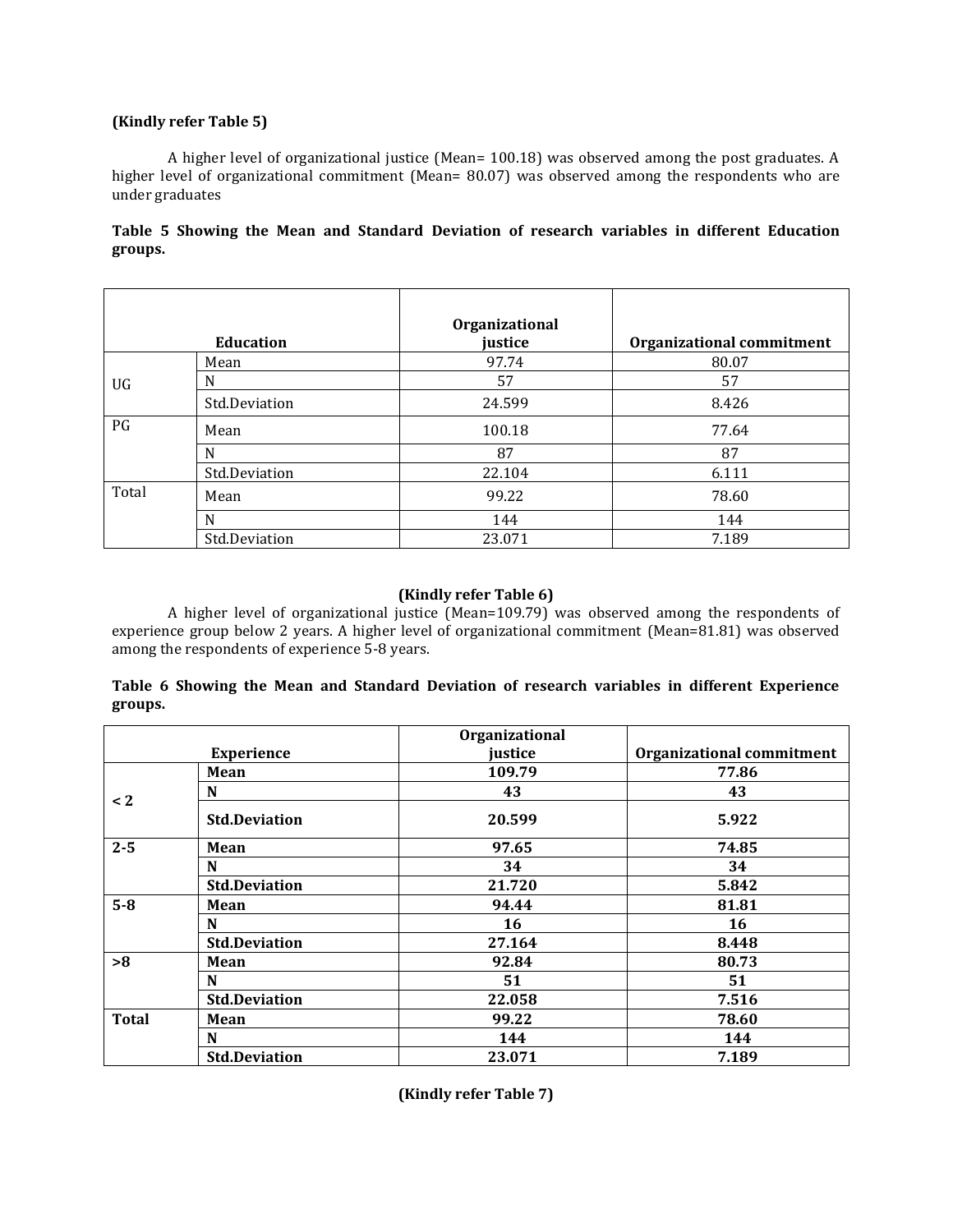## **(Kindly refer Table 5)**

A higher level of organizational justice (Mean= 100.18) was observed among the post graduates. A higher level of organizational commitment (Mean= 80.07) was observed among the respondents who are under graduates

## **Table 5 Showing the Mean and Standard Deviation of research variables in different Education groups.**

|       |                  | Organizational |                                  |
|-------|------------------|----------------|----------------------------------|
|       | <b>Education</b> | justice        | <b>Organizational commitment</b> |
|       | Mean             | 97.74          | 80.07                            |
| UG    | N                | 57             | 57                               |
|       | Std.Deviation    | 24.599         | 8.426                            |
| PG    | Mean             | 100.18         | 77.64                            |
|       | N                | 87             | 87                               |
|       | Std.Deviation    | 22.104         | 6.111                            |
| Total | Mean             | 99.22          | 78.60                            |
|       | N                | 144            | 144                              |
|       | Std.Deviation    | 23.071         | 7.189                            |

#### **(Kindly refer Table 6)**

A higher level of organizational justice (Mean=109.79) was observed among the respondents of experience group below 2 years. A higher level of organizational commitment (Mean=81.81) was observed among the respondents of experience 5-8 years.

## **Table 6 Showing the Mean and Standard Deviation of research variables in different Experience groups.**

|              |                      | Organizational |                                  |
|--------------|----------------------|----------------|----------------------------------|
|              | <b>Experience</b>    | justice        | <b>Organizational commitment</b> |
|              | Mean                 | 109.79         | 77.86                            |
| < 2          | N                    | 43             | 43                               |
|              | <b>Std.Deviation</b> | 20.599         | 5.922                            |
| $2 - 5$      | Mean                 | 97.65          | 74.85                            |
|              | N                    | 34             | 34                               |
|              | <b>Std.Deviation</b> | 21.720         | 5.842                            |
| $5-8$        | Mean                 | 94.44          | 81.81                            |
|              | N                    | 16             | 16                               |
|              | <b>Std.Deviation</b> | 27.164         | 8.448                            |
| >8           | Mean                 | 92.84          | 80.73                            |
|              | N                    | 51             | 51                               |
|              | <b>Std.Deviation</b> | 22.058         | 7.516                            |
| <b>Total</b> | Mean                 | 99.22          | 78.60                            |
|              | N                    | 144            | 144                              |
|              | <b>Std.Deviation</b> | 23.071         | 7.189                            |

**(Kindly refer Table 7)**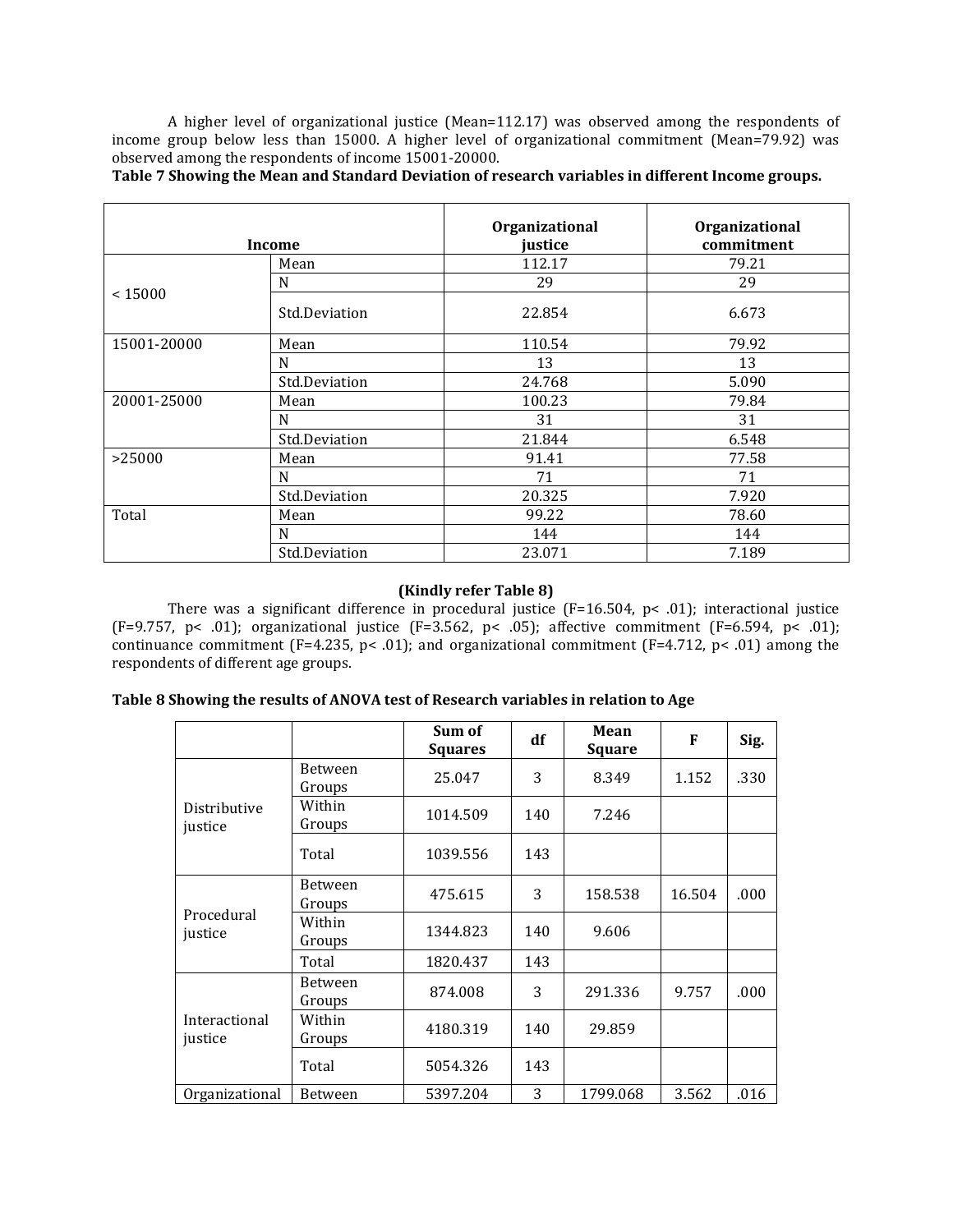A higher level of organizational justice (Mean=112.17) was observed among the respondents of income group below less than 15000. A higher level of organizational commitment (Mean=79.92) was observed among the respondents of income 15001-20000.

**Table 7 Showing the Mean and Standard Deviation of research variables in different Income groups.**

|             | <b>Income</b> | Organizational<br>justice | Organizational<br>commitment |
|-------------|---------------|---------------------------|------------------------------|
|             | Mean          | 112.17                    | 79.21                        |
|             | N             | 29                        | 29                           |
| < 15000     | Std.Deviation | 22.854                    | 6.673                        |
| 15001-20000 | Mean          | 110.54                    | 79.92                        |
|             | N             | 13                        | 13                           |
|             | Std.Deviation | 24.768                    | 5.090                        |
| 20001-25000 | Mean          | 100.23                    | 79.84                        |
|             | N             | 31                        | 31                           |
|             | Std.Deviation | 21.844                    | 6.548                        |
| >25000      | Mean          | 91.41                     | 77.58                        |
|             | N             | 71                        | 71                           |
|             | Std Deviation | 20.325                    | 7.920                        |
| Total       | Mean          | 99.22                     | 78.60                        |
|             | N             | 144                       | 144                          |
|             | Std.Deviation | 23.071                    | 7.189                        |

## **(Kindly refer Table 8)**

There was a significant difference in procedural justice (F=16.504, p< .01); interactional justice (F=9.757, p< .01); organizational justice (F=3.562, p< .05); affective commitment (F=6.594, p< .01); continuance commitment (F=4.235, p< .01); and organizational commitment (F=4.712, p< .01) among the respondents of different age groups.

| Table 8 Showing the results of ANOVA test of Research variables in relation to Age |
|------------------------------------------------------------------------------------|
|------------------------------------------------------------------------------------|

|                          |                          | Sum of<br><b>Squares</b> | df  | Mean<br><b>Square</b> | F      | Sig. |
|--------------------------|--------------------------|--------------------------|-----|-----------------------|--------|------|
| Distributive<br>justice  | <b>Between</b><br>Groups | 25.047                   | 3   | 8.349                 | 1.152  | .330 |
|                          | Within<br>Groups         | 1014.509                 | 140 | 7.246                 |        |      |
|                          | Total                    | 1039.556                 | 143 |                       |        |      |
| Procedural<br>justice    | <b>Between</b><br>Groups | 475.615                  | 3   | 158.538               | 16.504 | .000 |
|                          | Within<br>Groups         | 1344.823                 | 140 | 9.606                 |        |      |
|                          | Total                    | 1820.437                 | 143 |                       |        |      |
|                          | <b>Between</b><br>Groups | 874.008                  | 3   | 291.336               | 9.757  | .000 |
| Interactional<br>justice | Within<br>Groups         | 4180.319                 | 140 | 29.859                |        |      |
|                          | Total                    | 5054.326                 | 143 |                       |        |      |
| Organizational           | Between                  | 5397.204                 | 3   | 1799.068              | 3.562  | .016 |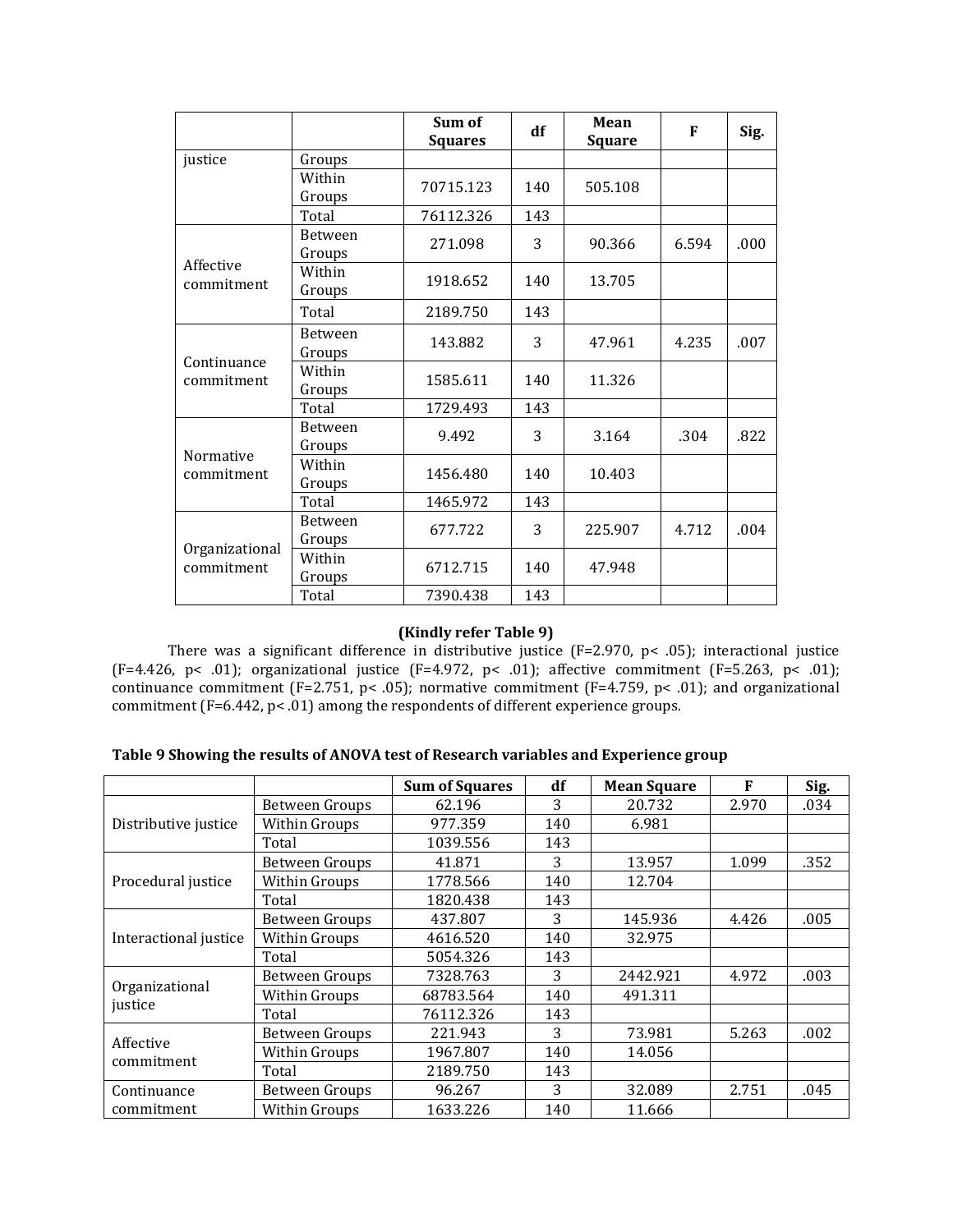|                              |                          | Sum of<br><b>Squares</b> | df  | Mean<br><b>Square</b> | F     | Sig. |
|------------------------------|--------------------------|--------------------------|-----|-----------------------|-------|------|
| justice                      | Groups                   |                          |     |                       |       |      |
|                              | Within<br>Groups         | 70715.123                | 140 | 505.108               |       |      |
|                              | Total                    | 76112.326                | 143 |                       |       |      |
| Affective<br>commitment      | <b>Between</b><br>Groups | 271.098                  | 3   | 90.366                | 6.594 | .000 |
|                              | Within<br>Groups         | 1918.652                 | 140 | 13.705                |       |      |
|                              | Total                    | 2189.750                 | 143 |                       |       |      |
| Continuance<br>commitment    | Between<br>Groups        | 143.882                  | 3   | 47.961                | 4.235 | .007 |
|                              | Within<br>Groups         | 1585.611                 | 140 | 11.326                |       |      |
|                              | Total                    | 1729.493                 | 143 |                       |       |      |
| Normative                    | Between<br>Groups        | 9.492                    | 3   | 3.164                 | .304  | .822 |
| commitment                   | Within<br>Groups         | 1456.480                 | 140 | 10.403                |       |      |
|                              | Total                    | 1465.972                 | 143 |                       |       |      |
| Organizational<br>commitment | Between<br>Groups        | 677.722                  | 3   | 225.907               | 4.712 | .004 |
|                              | Within<br>Groups         | 6712.715                 | 140 | 47.948                |       |      |
|                              | Total                    | 7390.438                 | 143 |                       |       |      |

## **(Kindly refer Table 9)**

There was a significant difference in distributive justice (F=2.970, p< .05); interactional justice (F=4.426, p< .01); organizational justice (F=4.972, p< .01); affective commitment (F=5.263, p< .01); continuance commitment (F=2.751, p< .05); normative commitment (F=4.759, p< .01); and organizational commitment (F=6.442, p< .01) among the respondents of different experience groups.

| Table 9 Showing the results of ANOVA test of Research variables and Experience group |  |
|--------------------------------------------------------------------------------------|--|
|                                                                                      |  |

|                           |                | <b>Sum of Squares</b> | df  | <b>Mean Square</b> | F     | Sig. |
|---------------------------|----------------|-----------------------|-----|--------------------|-------|------|
|                           | Between Groups | 62.196                | 3   | 20.732             | 2.970 | .034 |
| Distributive justice      | Within Groups  | 977.359               | 140 | 6.981              |       |      |
|                           | Total          | 1039.556              | 143 |                    |       |      |
|                           | Between Groups | 41.871                | 3   | 13.957             | 1.099 | .352 |
| Procedural justice        | Within Groups  | 1778.566              | 140 | 12.704             |       |      |
|                           | Total          | 1820.438              | 143 |                    |       |      |
|                           | Between Groups | 437.807               | 3   | 145.936            | 4.426 | .005 |
| Interactional justice     | Within Groups  | 4616.520              | 140 | 32.975             |       |      |
|                           | Total          | 5054.326              | 143 |                    |       |      |
|                           | Between Groups | 7328.763              | 3   | 2442.921           | 4.972 | .003 |
| Organizational<br>justice | Within Groups  | 68783.564             | 140 | 491.311            |       |      |
|                           | Total          | 76112.326             | 143 |                    |       |      |
|                           | Between Groups | 221.943               | 3   | 73.981             | 5.263 | .002 |
| Affective                 | Within Groups  | 1967.807              | 140 | 14.056             |       |      |
| commitment                | Total          | 2189.750              | 143 |                    |       |      |
| Continuance               | Between Groups | 96.267                | 3   | 32.089             | 2.751 | .045 |
| commitment                | Within Groups  | 1633.226              | 140 | 11.666             |       |      |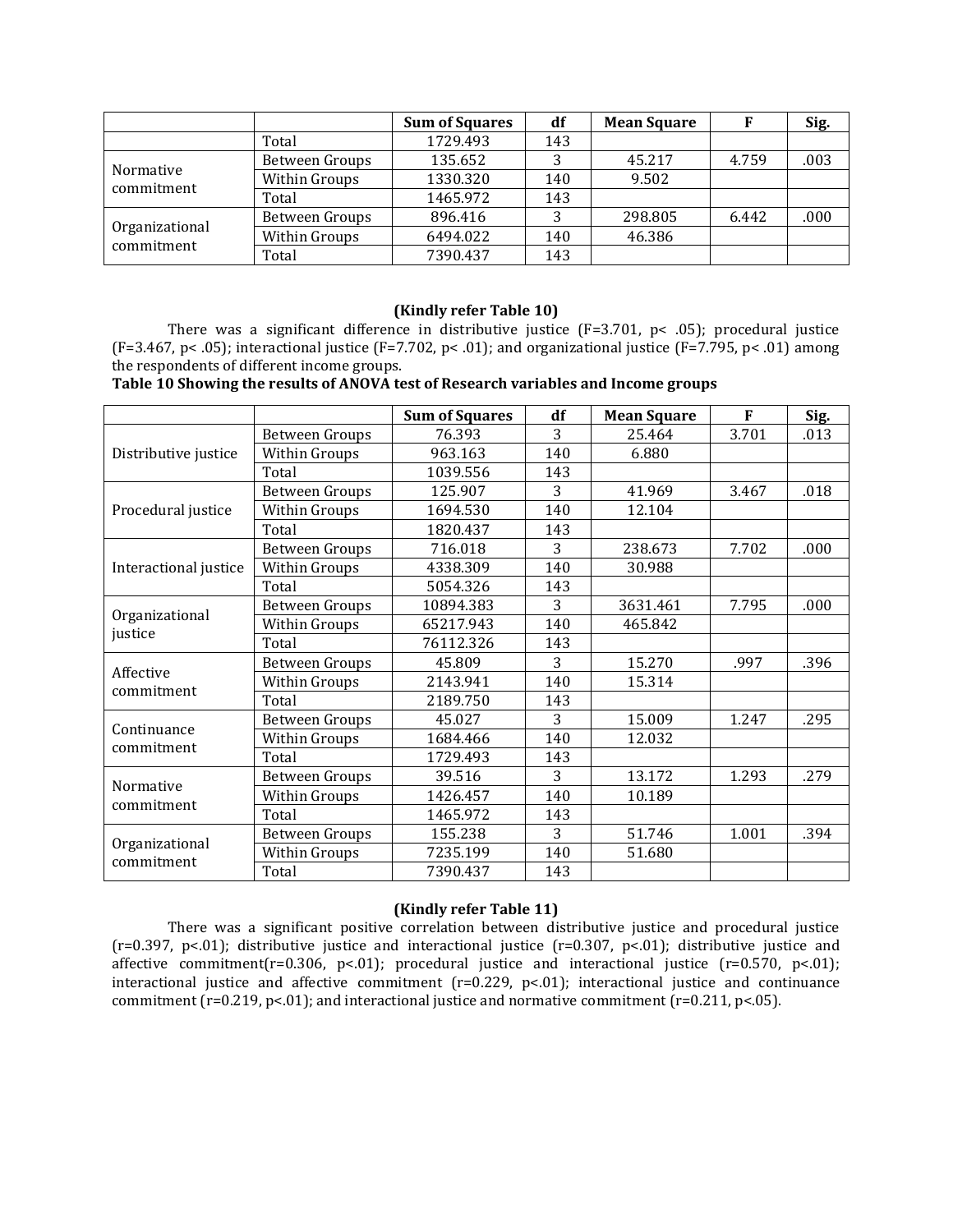|                              |                | <b>Sum of Squares</b> | df  | <b>Mean Square</b> |       | Sig. |
|------------------------------|----------------|-----------------------|-----|--------------------|-------|------|
|                              | Total          | 1729.493              | 143 |                    |       |      |
|                              | Between Groups | 135.652               |     | 45.217             | 4.759 | .003 |
| Normative<br>commitment      | Within Groups  | 1330.320              | 140 | 9.502              |       |      |
|                              | Total          | 1465.972              | 143 |                    |       |      |
|                              | Between Groups | 896.416               |     | 298.805            | 6.442 | .000 |
| Organizational<br>commitment | Within Groups  | 6494.022              | 140 | 46.386             |       |      |
|                              | Total          | 7390.437              | 143 |                    |       |      |

#### **(Kindly refer Table 10)**

There was a significant difference in distributive justice (F=3.701, p< .05); procedural justice (F=3.467, p< .05); interactional justice (F=7.702, p< .01); and organizational justice (F=7.795, p< .01) among the respondents of different income groups.

#### **Table 10 Showing the results of ANOVA test of Research variables and Income groups**

|                           |                       | <b>Sum of Squares</b>                                                                                                                                              | df  | <b>Mean Square</b> | F     | Sig. |
|---------------------------|-----------------------|--------------------------------------------------------------------------------------------------------------------------------------------------------------------|-----|--------------------|-------|------|
|                           | Between Groups        | 76.393                                                                                                                                                             | 3   | 25.464             | 3.701 | .013 |
| Distributive justice      | Within Groups         | 963.163                                                                                                                                                            | 140 | 6.880              |       |      |
|                           | Total                 | 1039.556                                                                                                                                                           | 143 |                    |       |      |
|                           | <b>Between Groups</b> | 125.907                                                                                                                                                            | 3   | 41.969             | 3.467 | .018 |
| Procedural justice        | Within Groups         | 1694.530                                                                                                                                                           | 140 | 12.104             |       |      |
|                           | Total                 | 1820.437                                                                                                                                                           | 143 |                    |       |      |
|                           | <b>Between Groups</b> | 716.018                                                                                                                                                            | 3   | 238.673            | 7.702 | .000 |
| Interactional justice     | Within Groups         | 4338.309                                                                                                                                                           | 140 | 30.988             |       |      |
|                           | Total                 | 5054.326                                                                                                                                                           | 143 |                    |       |      |
|                           | <b>Between Groups</b> | 10894.383                                                                                                                                                          | 3   | 3631.461           | 7.795 | .000 |
| Organizational            | Within Groups         | 65217.943                                                                                                                                                          | 140 | 465.842            |       |      |
| justice                   | Total                 | 76112.326                                                                                                                                                          | 143 |                    |       |      |
| Affective                 | <b>Between Groups</b> | 45.809                                                                                                                                                             | 3   | 15.270             | .997  | .396 |
| commitment                | Within Groups         | 2143.941                                                                                                                                                           | 140 | 15.314             |       |      |
|                           | Total                 | 2189.750                                                                                                                                                           | 143 |                    |       |      |
|                           | <b>Between Groups</b> | 45.027                                                                                                                                                             | 3   | 15.009             | 1.247 | .295 |
| Continuance<br>commitment | Within Groups         | 1684.466                                                                                                                                                           | 140 | 12.032             |       |      |
|                           | Total                 | 1729.493<br>143<br>3<br>13.172<br>39.516<br>140<br>1426.457<br>10.189<br>1465.972<br>143<br>3<br>51.746<br>155.238<br>7235.199<br>140<br>51.680<br>7390.437<br>143 |     |                    |       |      |
|                           | <b>Between Groups</b> |                                                                                                                                                                    |     |                    | 1.293 | .279 |
| Normative                 | Within Groups         |                                                                                                                                                                    |     |                    |       |      |
| commitment                | Total                 |                                                                                                                                                                    |     |                    |       |      |
|                           | <b>Between Groups</b> |                                                                                                                                                                    |     |                    | 1.001 | .394 |
| Organizational            | Within Groups         |                                                                                                                                                                    |     |                    |       |      |
| commitment                | Total                 |                                                                                                                                                                    |     |                    |       |      |

## **(Kindly refer Table 11)**

There was a significant positive correlation between distributive justice and procedural justice (r=0.397, p<.01); distributive justice and interactional justice (r=0.307, p<.01); distributive justice and affective commitment( $r=0.306$ ,  $p<01$ ); procedural justice and interactional justice ( $r=0.570$ ,  $p<01$ ); interactional justice and affective commitment (r=0.229, p<.01); interactional justice and continuance commitment (r=0.219, p<.01); and interactional justice and normative commitment (r=0.211, p<.05).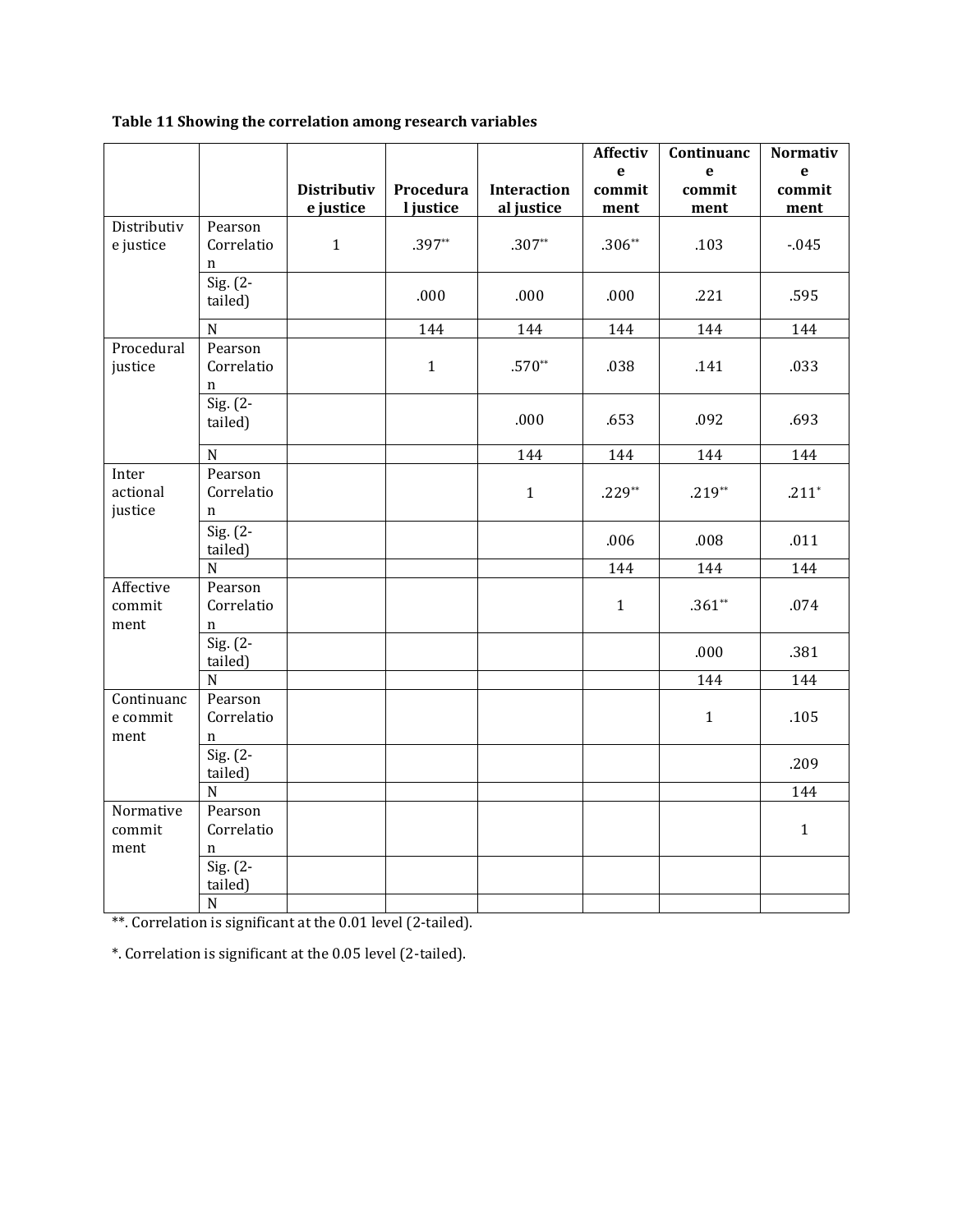## **Table 11 Showing the correlation among research variables**

|                                |                                         |                                 |                        |                                  | <b>Affectiv</b> | Continuanc     | <b>Normativ</b> |
|--------------------------------|-----------------------------------------|---------------------------------|------------------------|----------------------------------|-----------------|----------------|-----------------|
|                                |                                         |                                 |                        |                                  | e               | e              | e               |
|                                |                                         | <b>Distributiv</b><br>e justice | Procedura<br>l justice | <b>Interaction</b><br>al justice | commit          | commit<br>ment | commit<br>ment  |
| Distributiv                    | Pearson                                 |                                 |                        |                                  | ment            |                |                 |
| e justice                      | Correlatio<br>n                         | $\mathbf{1}$                    | $.397**$               | $.307**$                         | $.306**$        | .103           | $-045$          |
|                                | Sig. $(2 -$<br>tailed)                  |                                 | .000                   | .000                             | .000            | .221           | .595            |
|                                | ${\bf N}$                               |                                 | 144                    | 144                              | 144             | 144            | 144             |
| Procedural<br>justice          | Pearson<br>Correlatio<br>n              |                                 | $\mathbf{1}$           | $.570**$                         | .038            | .141           | .033            |
|                                | Sig. $(2 -$<br>tailed)                  |                                 |                        | .000                             | .653            | .092           | .693            |
|                                | ${\bf N}$                               |                                 |                        | 144                              | 144             | 144            | 144             |
| Inter<br>actional<br>justice   | Pearson<br>Correlatio<br>$\mathbf n$    |                                 |                        | $\mathbf 1$                      | $.229**$        | $.219**$       | $.211*$         |
|                                | $Sig. (2-$<br>tailed)                   |                                 |                        |                                  | .006            | .008           | .011            |
|                                | N                                       |                                 |                        |                                  | 144             | 144            | 144             |
| Affective<br>commit<br>ment    | Pearson<br>Correlatio<br>n              |                                 |                        |                                  | $\mathbf{1}$    | $.361**$       | .074            |
|                                | Sig. $(2 -$<br>tailed)                  |                                 |                        |                                  |                 | .000           | .381            |
|                                | $\mathbf N$                             |                                 |                        |                                  |                 | 144            | 144             |
| Continuanc<br>e commit<br>ment | Pearson<br>Correlatio<br>n              |                                 |                        |                                  |                 | $1\,$          | .105            |
|                                | $\overline{\text{Sig. (2-}}$<br>tailed) |                                 |                        |                                  |                 |                | .209            |
|                                | $\overline{N}$                          |                                 |                        |                                  |                 |                | 144             |
| Normative<br>commit<br>ment    | Pearson<br>Correlatio<br>n              |                                 |                        |                                  |                 |                | $1\,$           |
|                                | Sig. $(2 -$<br>tailed)                  |                                 |                        |                                  |                 |                |                 |
|                                | $\mathbf N$                             |                                 |                        |                                  |                 |                |                 |

\*\*. Correlation is significant at the 0.01 level (2-tailed).

\*. Correlation is significant at the 0.05 level (2-tailed).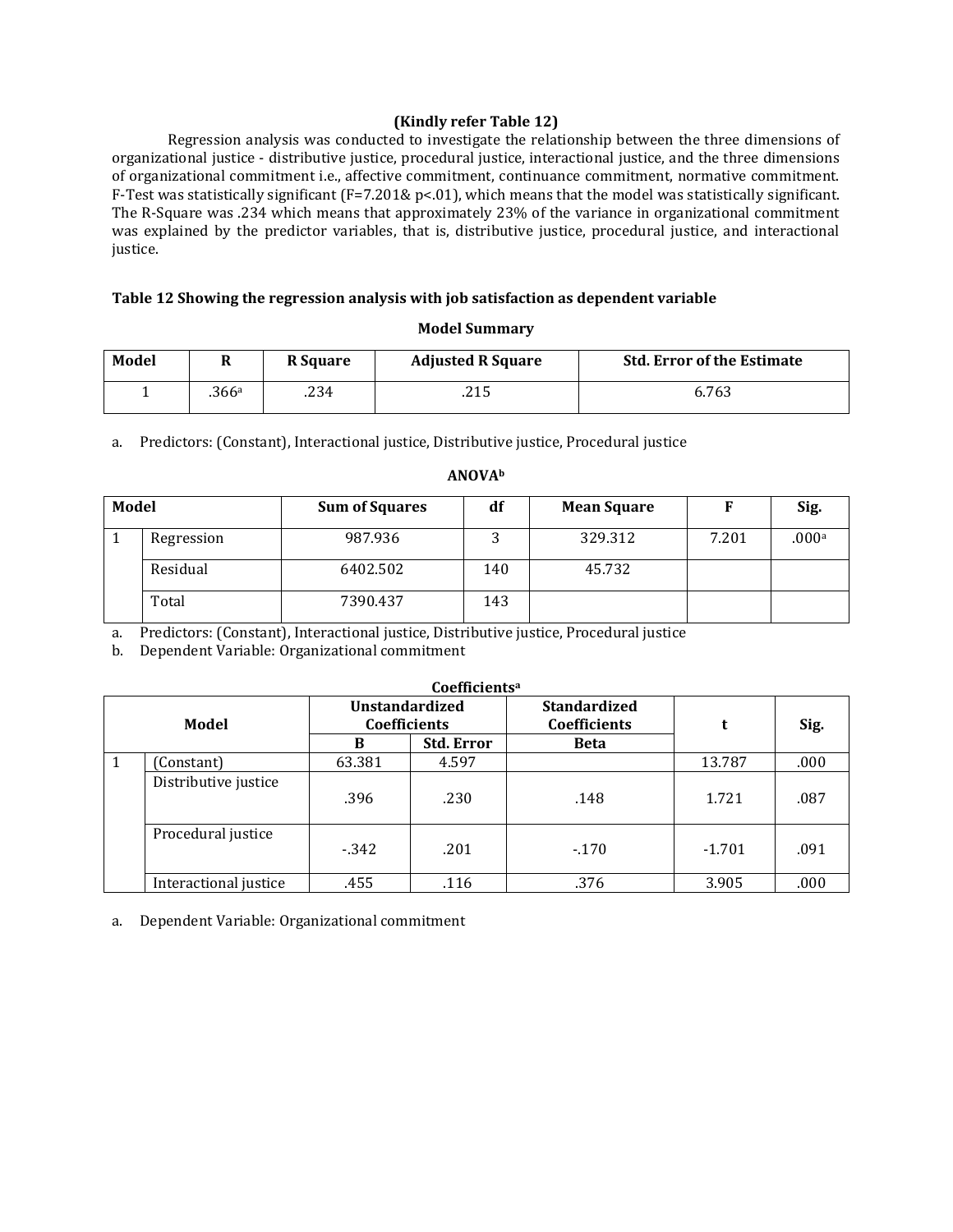#### **(Kindly refer Table 12)**

Regression analysis was conducted to investigate the relationship between the three dimensions of organizational justice - distributive justice, procedural justice, interactional justice, and the three dimensions of organizational commitment i.e., affective commitment, continuance commitment, normative commitment. F-Test was statistically significant (F=7.201&  $p<01$ ), which means that the model was statistically significant. The R-Square was .234 which means that approximately 23% of the variance in organizational commitment was explained by the predictor variables, that is, distributive justice, procedural justice, and interactional justice.

#### **Table 12 Showing the regression analysis with job satisfaction as dependent variable**

### **Model Summary**

| Model | n     | <b>R</b> Square | <b>Adjusted R Square</b> | <b>Std. Error of the Estimate</b> |
|-------|-------|-----------------|--------------------------|-----------------------------------|
|       | .366a | .234            | .215                     | 6.763                             |

a. Predictors: (Constant), Interactional justice, Distributive justice, Procedural justice

| <b>Model</b> |            | <b>Sum of Squares</b> | df  | <b>Mean Square</b> |       | Sig.              |
|--------------|------------|-----------------------|-----|--------------------|-------|-------------------|
|              | Regression | 987.936               |     | 329.312            | 7.201 | .000 <sup>a</sup> |
|              | Residual   | 6402.502              | 140 | 45.732             |       |                   |
|              | Total      | 7390.437              | 143 |                    |       |                   |

#### **ANOVA<sup>b</sup>**

a. Predictors: (Constant), Interactional justice, Distributive justice, Procedural justice

b. Dependent Variable: Organizational commitment

|       | Coefficients <sup>a</sup> |                                              |                   |                                            |          |      |  |  |  |
|-------|---------------------------|----------------------------------------------|-------------------|--------------------------------------------|----------|------|--|--|--|
| Model |                           | <b>Unstandardized</b><br><b>Coefficients</b> |                   | <b>Standardized</b><br><b>Coefficients</b> | t        | Sig. |  |  |  |
|       |                           | B                                            | <b>Std. Error</b> | <b>Beta</b>                                |          |      |  |  |  |
| 1     | (Constant)                | 63.381                                       | 4.597             |                                            | 13.787   | .000 |  |  |  |
|       | Distributive justice      | .396                                         | .230              | .148                                       | 1.721    | .087 |  |  |  |
|       | Procedural justice        | $-342$                                       | .201              | $-170$                                     | $-1.701$ | .091 |  |  |  |
|       | Interactional justice     | .455                                         | .116              | .376                                       | 3.905    | .000 |  |  |  |

## a. Dependent Variable: Organizational commitment